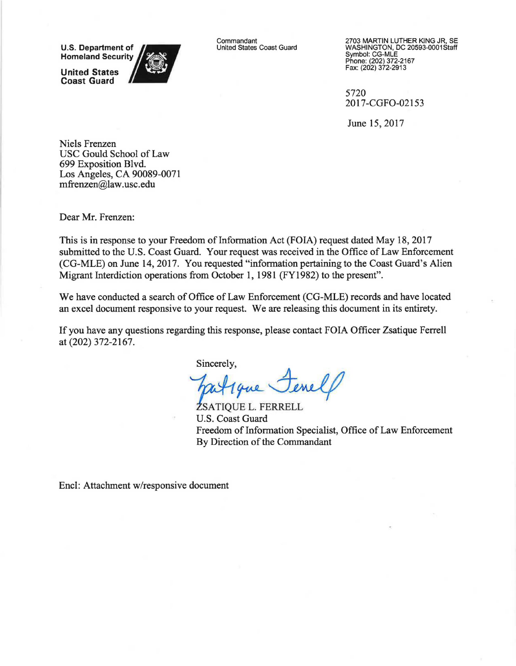**U.S. Department of<br>Homeland Security** 

**United States Coast Guard** 



Commandant United States Coast Guard 2703 MARTIN LUTHER KING JR, SE WASHINGTON, DC 20593-0001Staff Symbol: CG-MLE Phone: {202) 372-2167 Fax: {202) 372-2913

5720 2017-CGF0-02153

June 15, 2017

Niels Frenzen USC Gould School of Law 699 Exposition Blvd. Los Angeles, CA 90089-0071 mfrenzen@law.usc.edu

Dear Mr. Frenzen:

This is in response to your Freedom of Information Act (FOIA) request dated May 18, 2017 submitted to the U.S. Coast Guard. Your request was received in the Office of Law Enforcement (CG-MLE) on June 14, 2017. You requested "information pertaining to the Coast Guard's Alien Migrant Interdiction operations from October **1,** 1981 (FY1982) to the present".

We have conducted a search of Office of Law Enforcement (CG-MLE) records and have located an excel document responsive to your request. We are releasing this document in its entirety.

If you have any questions regarding this response, please contact FOIA Officer Zsatique Ferrell at (202) 372-2167.

Sincerely,

FERRELL<br>FERRELL

**ŻSATIQUE L. FERRELL** Freedom of Information Specialist, Office of Law Enforcement U.S. Coast Guard By Direction of the Commandant

Encl: Attachment w/responsive document